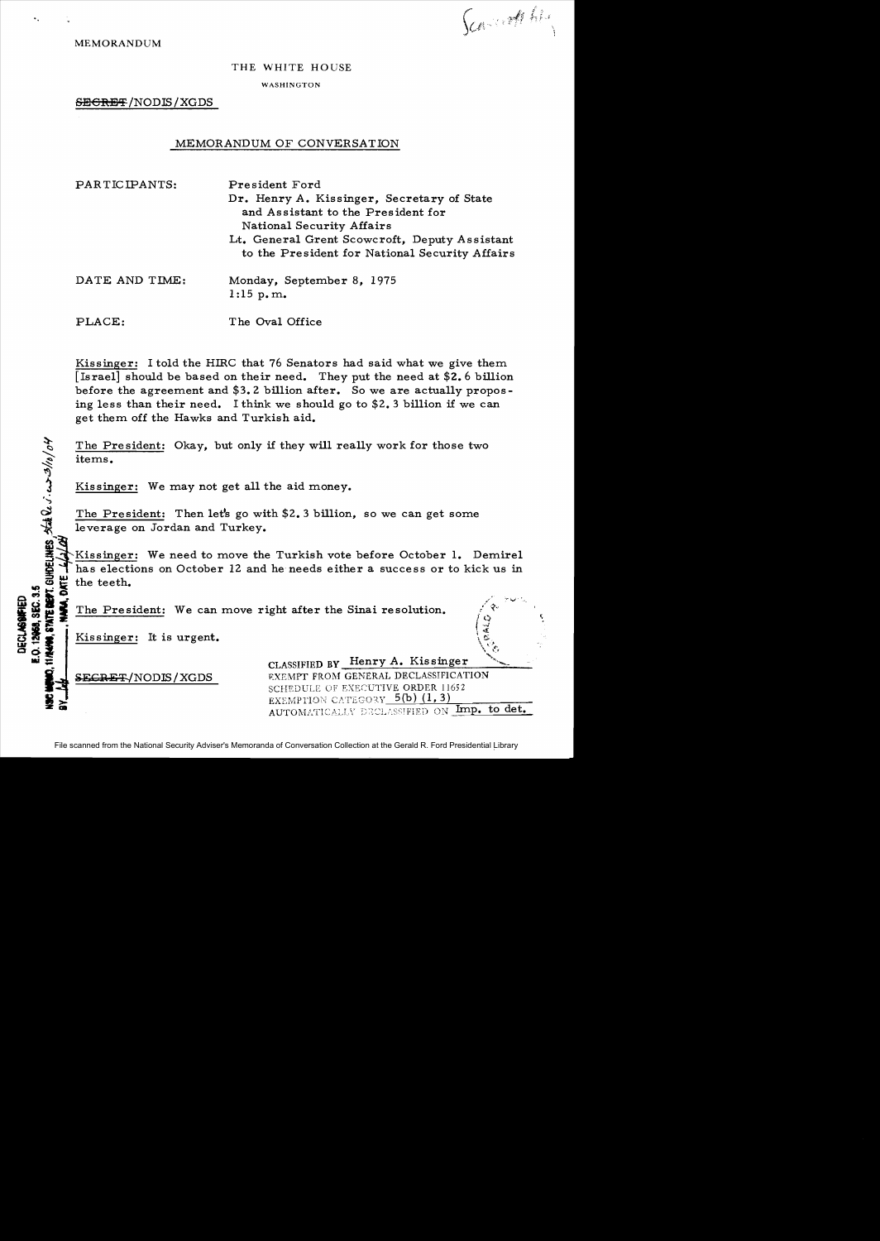Scarcott his

MEMORANDUM

## THE WHITE HOUSE

WASHINGTON

SECRET/NODIS/XGDS

## MEMORANDUM OF CONVERSATION

| PARTICIPANTS:  | President Ford<br>Dr. Henry A. Kissinger, Secretary of State<br>and Assistant to the President for<br>National Security Affairs<br>Lt. General Grent Scowcroft, Deputy Assistant<br>to the President for National Security Affairs |  |
|----------------|------------------------------------------------------------------------------------------------------------------------------------------------------------------------------------------------------------------------------------|--|
| DATE AND TIME: | Monday, September 8, 1975<br>$1:15$ p.m.                                                                                                                                                                                           |  |
| PLACE:         | The Oval Office                                                                                                                                                                                                                    |  |

Kissinger: I told the HIRC that 76 Senators had said what we give them [Israel] should be based on their need. They put the need at \$2.6 billion before the agreement and \$3.2 billion after. So we are actually proposing less than their need. I think we should go to \$2.3 billion if we can get them off the Hawks and Turkish aid.

The President: Okay, but only if they will really work for those two <sup>~</sup>items.

Kissinger: We may not get all the aid money.

The President: Then let's go with \$2.3 billion, so we can get some leverage on Jordan and Turkey.

i~'KiSSinger: We need to move the Turkish vote before October **1.** Demirel Thas elections on October 12 and he needs either a success or to kick us in the teeth. .., ~ li the teeth. i!i The President: We can move right aiter the Sinai resolution. ,/~.•~ . • \_.... 1 }(.) CIt IO;!! • I . .J

Kissinger: It is urgent.

 $\omega$ 

 $\ddot{\varsigma}$ 

| ᇢ은                            | CLASSIFIED BY Henry A. Kissinger                                                                                                                                      |
|-------------------------------|-----------------------------------------------------------------------------------------------------------------------------------------------------------------------|
| SECRET/NODIS/XGDS<br>9<br>2 a | <b>EXEMPT FROM GENERAL DECLASSIFICATION</b><br>SCHEDULE OF EXECUTIVE ORDER 11652<br>EXEMPTION CATEGORY $5(b)$ (1, 3)<br>Imp. to det.<br>AUTOMATICALLY DECLASSIFIED ON |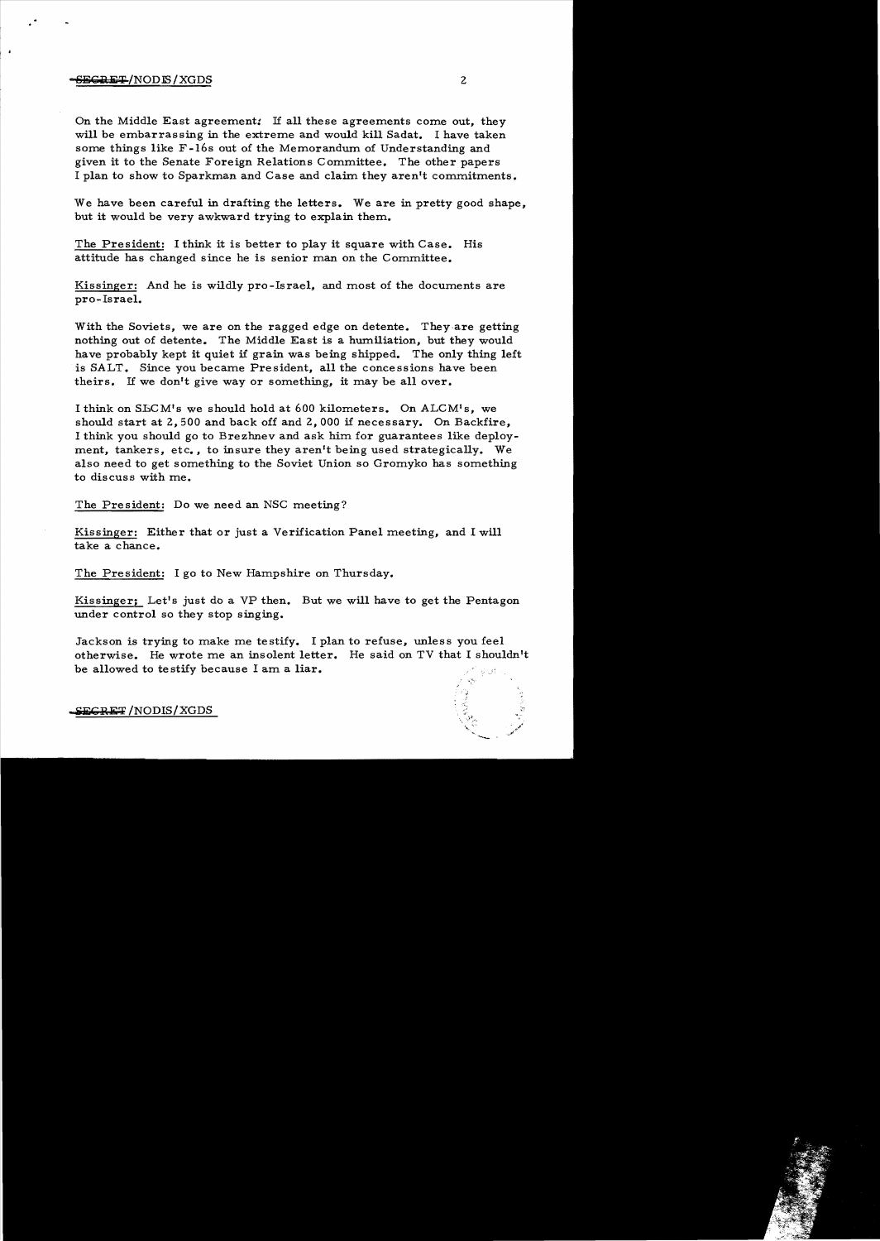## $-$ <del>SECRET</del>/NODIS/XGDS 2

 $\cdot$ 

On the Middle East agreement: If all these agreements come out, they will be embarrassing in the extreme and would kill Sadat. I have taken some things like F-l6s out of the Memorandum of Understanding and given it to the Senate Foreign Relations Committee. The other papers I plan to show to Sparkman and Case and claim they aren't commitments.

We have been careful in drafting the letters. We are in pretty good shape, but it would be very awkward trying to explain them.

The President: I think it is better to play it square with Case. His attitude has changed since he is senior man on the Committee.

Kissinger: And he is wildly pro-Israel, and most of the documents are prO-Israel.

With the Soviets, we are on the ragged edge on detente. They-are getting nothing out of detente. The Middle East is a humiliation, but they would have probably kept it quiet if grain was being shipped. The only thing left is SALT. Since you became President, all the concessions have been theirs. If we don't give way or something, it may be all over.

I think on SECM's we should hold at 600 kilometers. On ALCM's, we should start at 2,500 and back off and 2,000 if necessary. On Backfire, I think you should go to Brezhnev and ask him for guarantees like deploy ment, tankers, etc., to insure they aren't being used strategically. We also need to get something to the Soviet Union so Gromyko has something to discuss with me.

The President: Do we need an NSC meeting?

Kissinger: Either that or just a Verification Panel meeting, and I will take a chance.

The President: I go to New Hampshire on Thursday.

Kissinger; Let's just do a VP then. But we will have to get the Pentagon under control so they stop singing.

Jackson is trying to make me testify. I plan to refuse, unless you feel otherwise. He wrote me an insolent letter. He said on TV that I shouldn't be allowed to testify because I am a liar.

 $S$ ECRET /NODIS/XGDS

-.....-- .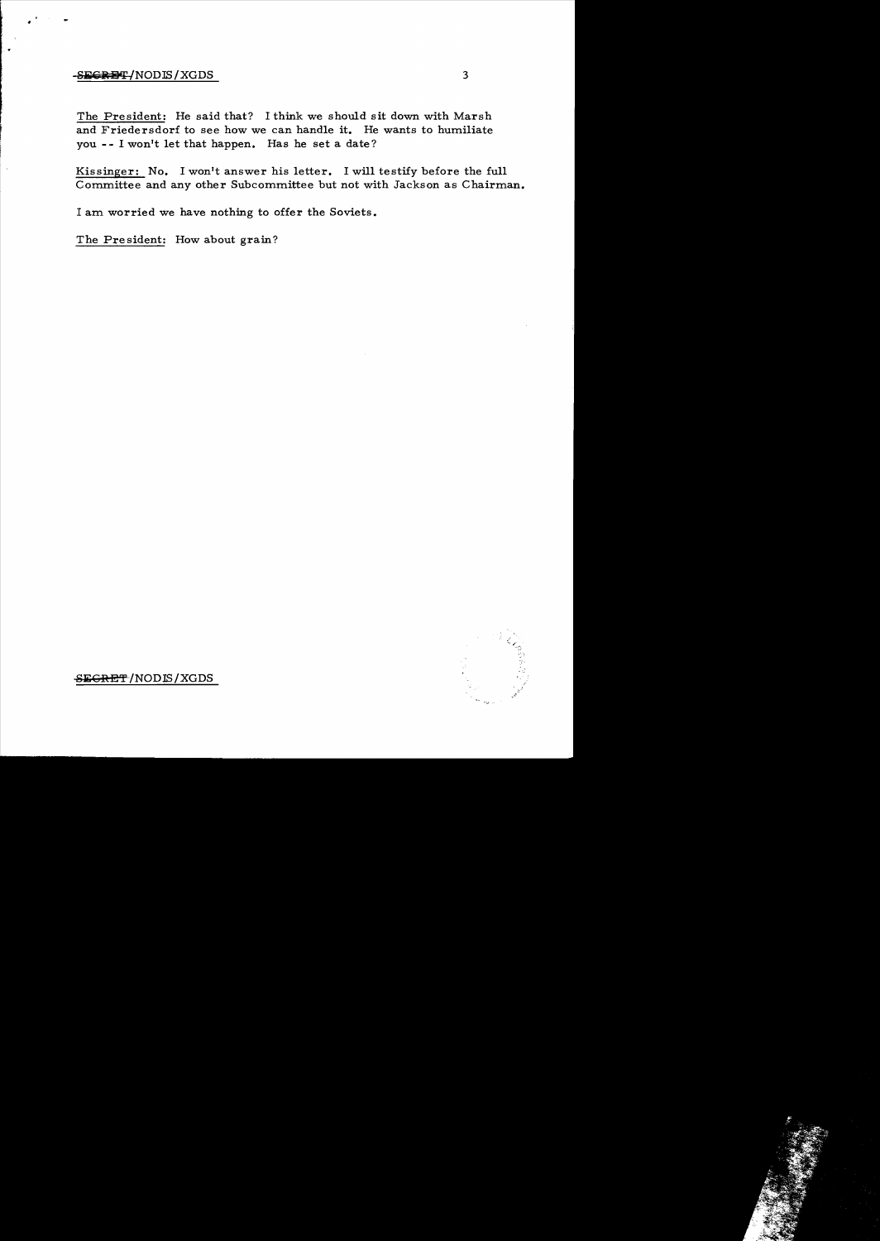## -SECRET-(NODIS/XGDS) 3

The President: He said that? I think we should sit down with Marsh and Friedersdorf to see how we can handle it. He wants to humiliate you **--** I won't let that happen. Has he set a date?

Kissinger: No. I won't answer his letter. I will testify before the full Committee and any other Subcommittee but not with Jackson as Chairman.

I am worried we have nothing to offer the Soviets.

The President: How about grain?



SEGRET/NODIS/XGDS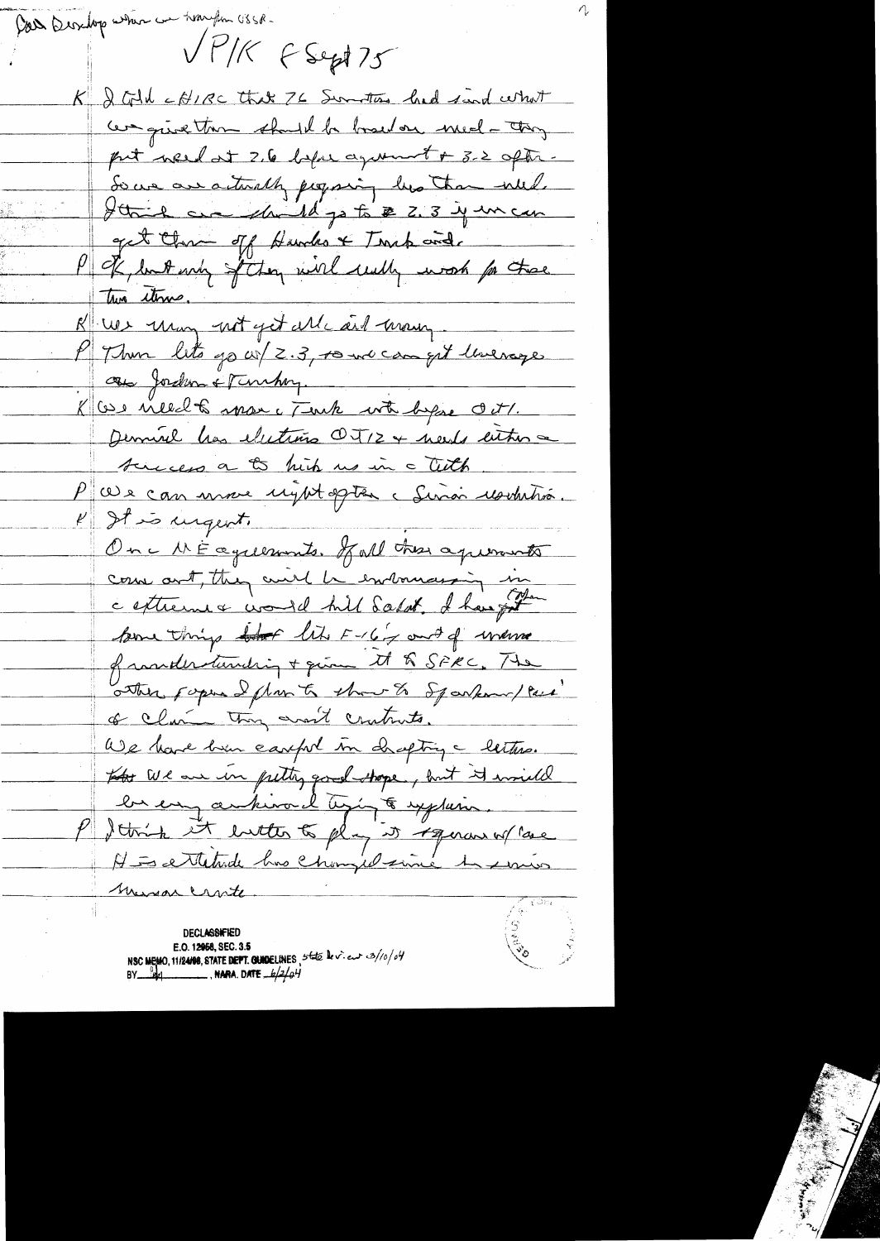Con Desubop when we hought USSB-VPIK FSept 75 K & Gold cofine that 76 Suntry had find what cerquestion shutil be board on med-they put weed at 2.6 before aground + 3.2 aptr. So we are actually proposing his than will. I think one should go to \$ 2.3 years can get there of Hundes & Trup and P of londering of they will uselly work for these K We unan not get Mc ail mon P Then lets go w/ 2.3, to we can get livenage au Joshum & Timhoy. K we nilledts man c Tenk with began oct. Demirel has elections OT12 + needs either a tuces a to hip us in a tith P (Us can une right opten : Sinon resultition.  $k$  It is urgent. One MÉaguerants. Jul tres agreements come out, they will be entouraging in ceptiennes would hill Salat. I have got pour things that like F-16 y and of where frankertunding + quin the SPRC. The other popular flow to the of arkamples of clair they won't crutuits. We have been earful in chapting a letters. tother We are in putty good shope, but it would be en arkival tying to explain P detroit it entter to play it ignore of lase HE ettetade has changed since to suris misson crarte

**DECLASSIFIED** E.O. 12968, SEC. 3.5 NSC MEMO, 11/24/08, STATE DEPT. GUIDELINES, 5 total le vient  $3/(00/64)$ <br>BY  $\frac{64}{10}$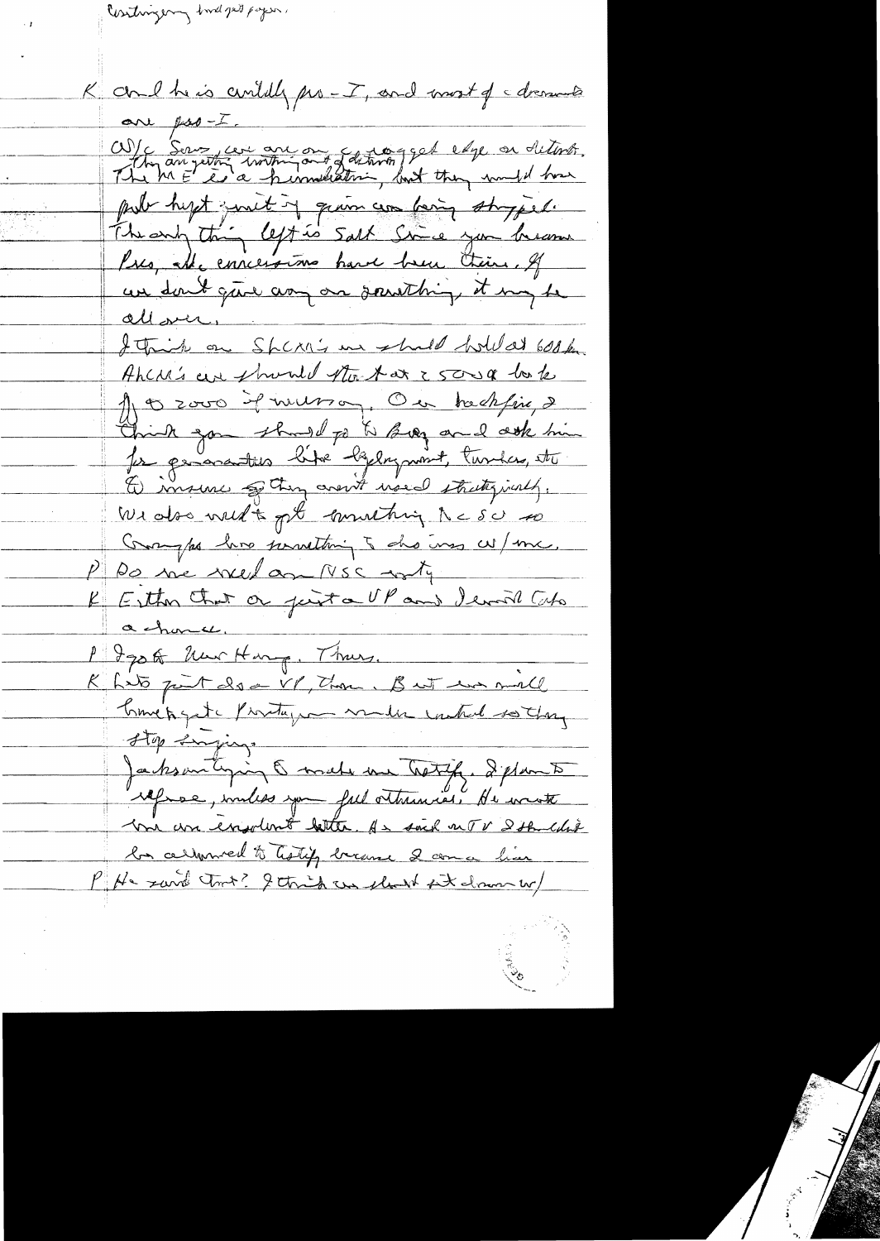Contingery had pet pagen.

K and he is avidely pro-I, and most of a dressure are post.<br>W/c Server cent and any of determining god edge on determin. pub hyst junit of grain can being storped. The endy thing left is salt Since you become Pres, Ale concertions have been their. If un dont que any on sousthing it my be allover, I think on Sheri's un shall hold at 600k. Ahcre's are phoned that at 25000 look A 3 2000 il incesso, On trechfine 2 Christ zon should po to Bog and ook him Dimsine of they crewt used straty just, We also well to get connecting RCSU so Comptes have possibly to des uses w/me. P Do ne weel ago NSC arty K Esther that or just a UP and Ierril Cubo achance. 1 Igo of New Hang, Thurs. Khits part doe VP, Thou, B wit was mall Comet quite Provitage maler control so they stop surging Jacksontiques & make une tretife. I plan to me un ensolent better. As said not & som colored be cellenwel to Testify breams 2 come him P He said tout? I think an short sit draw w/